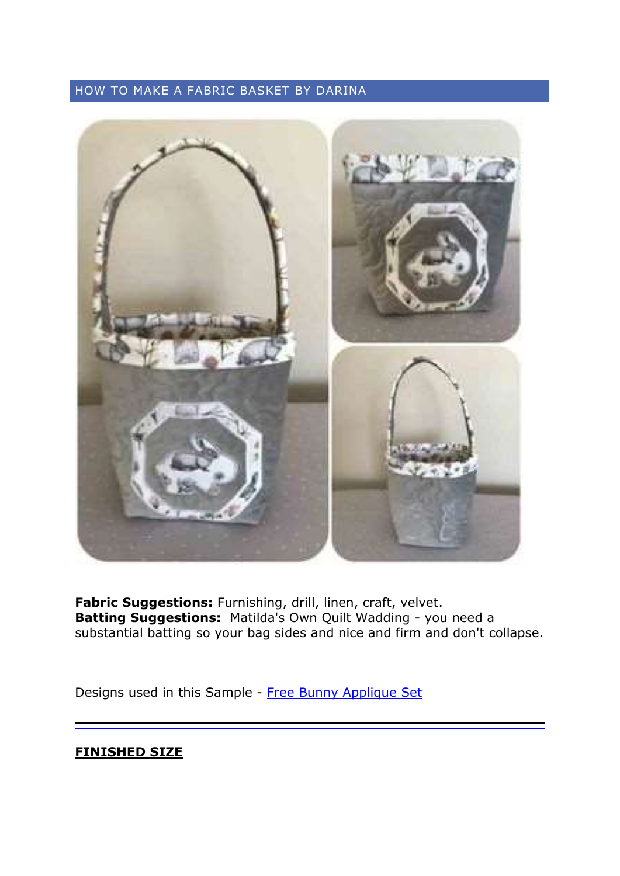# HOW TO MAKE A FABRIC BASKET BY DARINA



**Fabric Suggestions:** Furnishing, drill, linen, craft, velvet. **Batting Suggestions:** Matilda's Own Quilt Wadding - you need a substantial batting so your bag sides and nice and firm and don't collapse.

Designs used in this Sample - [Free Bunny Applique](https://www.kreativekiwiembroidery.co.nz/product/free-applique-bunny-set) Set

## **FINISHED SIZE**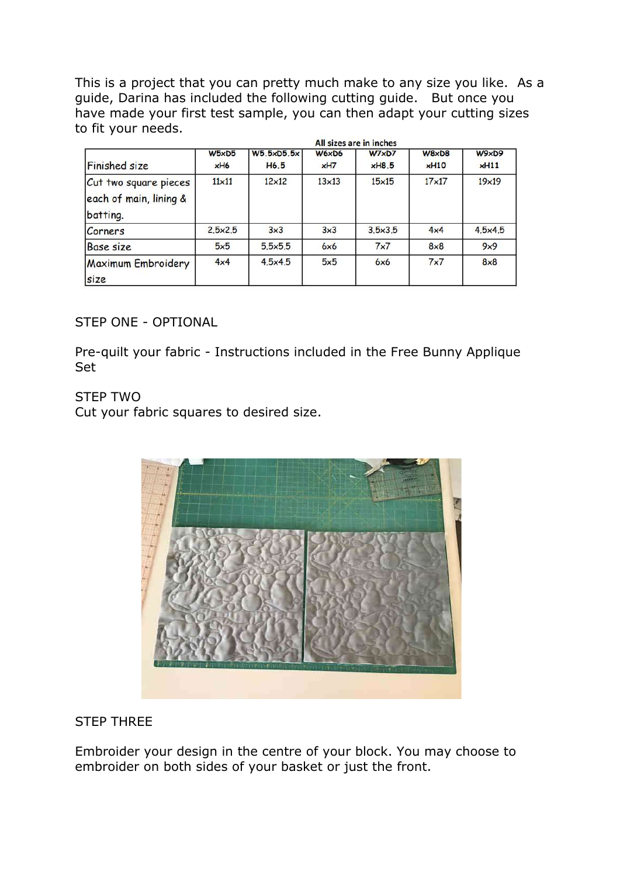This is a project that you can pretty much make to any size you like. As a guide, Darina has included the following cutting guide. But once you have made your first test sample, you can then adapt your cutting sizes to fit your needs. 1999. **CONTRACTOR** 

|                                                             | All sizes are in inches |                                |              |                |                        |               |
|-------------------------------------------------------------|-------------------------|--------------------------------|--------------|----------------|------------------------|---------------|
| <b>Finished size</b>                                        | W5xD5<br>xH6            | W5.5xD5.5x<br>H <sub>6.5</sub> | W6xD6<br>xH7 | W7xD7<br>xH8.5 | $W8 \times D8$<br>xH10 | W9xD9<br>xH11 |
| Cut two square pieces<br>each of main, lining &<br>batting. | $11\times11$            | $12\times12$                   | $13\times13$ | $15\times15$   | $17\times17$           | $19\times19$  |
| Corners                                                     | 2.5x2.5                 | 3x3                            | 3x3          | 3.5x3.5        | 4x4                    | 4.5x4.5       |
| Base size                                                   | 5x5                     | 5.5x5.5                        | 6x6          | 7x7            | $8\times8$             | 9x9           |
| <b>Maximum Embroidery</b><br>size                           | 4x4                     | 4.5x4.5                        | 5x5          | 6x6            | 7x7                    | $8\times8$    |

### STEP ONE - OPTIONAL

Pre-quilt your fabric - Instructions included in the Free Bunny Applique Set

### STEP TWO

Cut your fabric squares to desired size.



### STEP THREE

Embroider your design in the centre of your block. You may choose to embroider on both sides of your basket or just the front.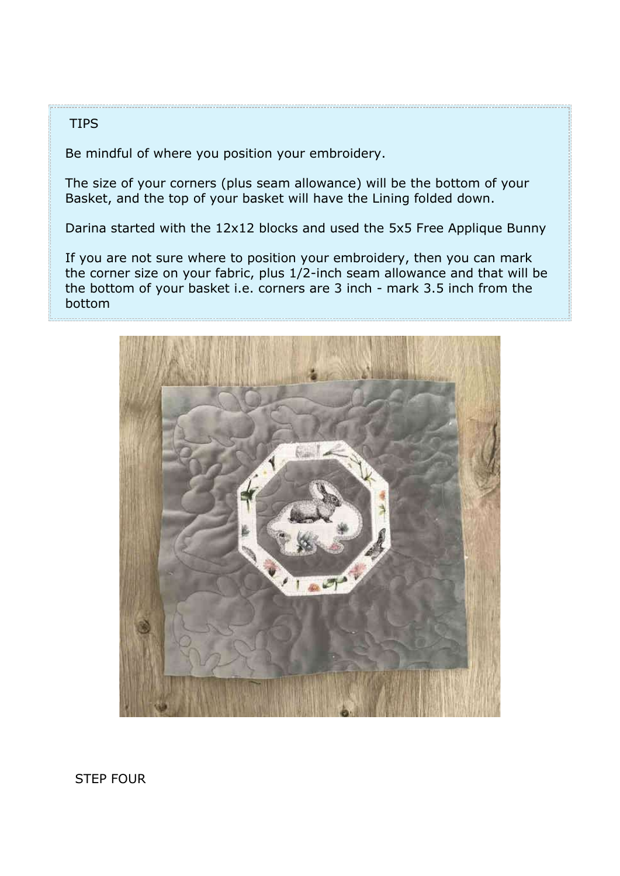### **TIPS**

Be mindful of where you position your embroidery.

The size of your corners (plus seam allowance) will be the bottom of your Basket, and the top of your basket will have the Lining folded down.

Darina started with the 12x12 blocks and used the 5x5 Free Applique Bunny

If you are not sure where to position your embroidery, then you can mark the corner size on your fabric, plus 1/2-inch seam allowance and that will be the bottom of your basket i.e. corners are 3 inch - mark 3.5 inch from the bottom



STEP FOUR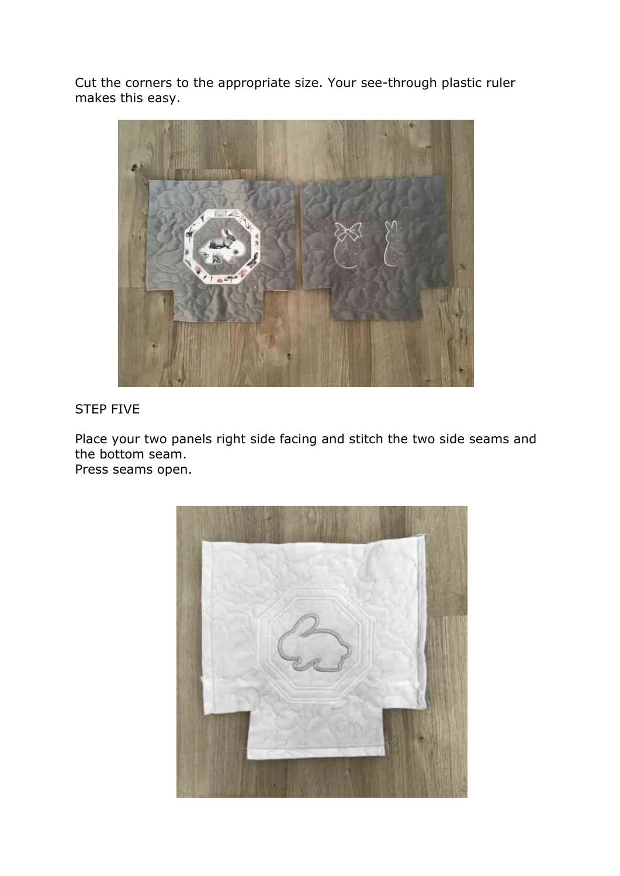Cut the corners to the appropriate size. Your see-through plastic ruler makes this easy.



# STEP FIVE

Place your two panels right side facing and stitch the two side seams and the bottom seam.

Press seams open.

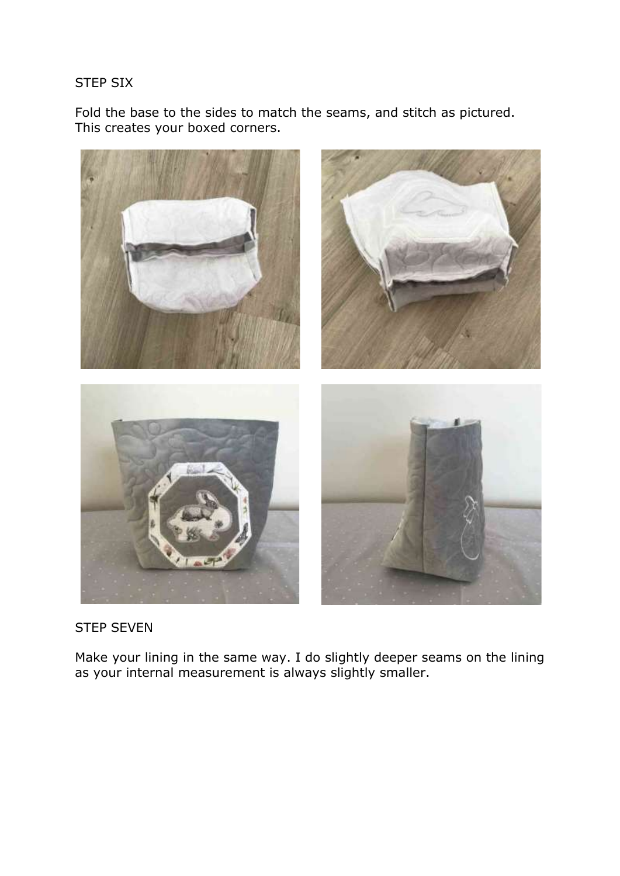### STEP SIX

Fold the base to the sides to match the seams, and stitch as pictured. This creates your boxed corners.



### STEP SEVEN

Make your lining in the same way. I do slightly deeper seams on the lining as your internal measurement is always slightly smaller.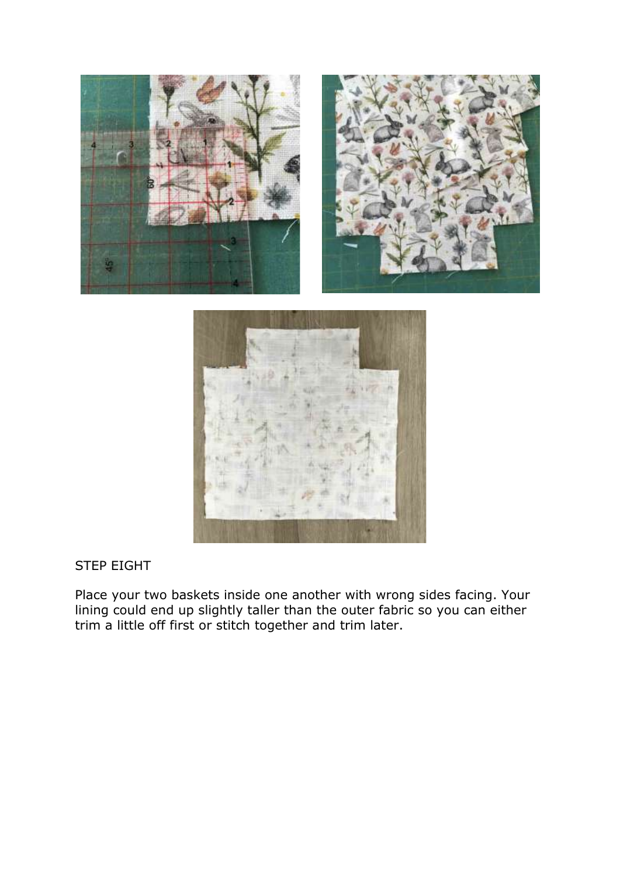



# STEP EIGHT

Place your two baskets inside one another with wrong sides facing. Your lining could end up slightly taller than the outer fabric so you can either trim a little off first or stitch together and trim later.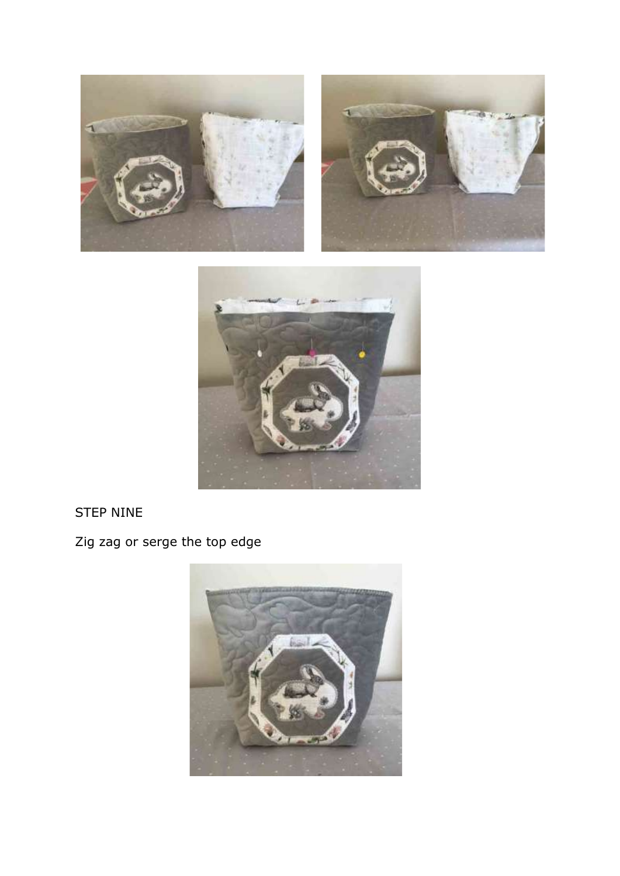





# STEP NINE

Zig zag or serge the top edge

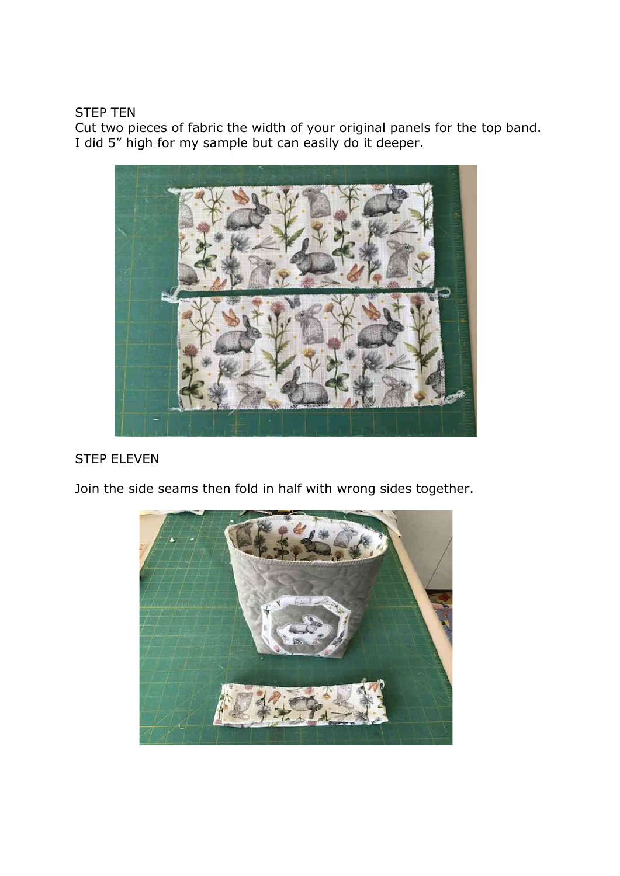### STEP TEN

Cut two pieces of fabric the width of your original panels for the top band. I did 5" high for my sample but can easily do it deeper.



# STEP ELEVEN

Join the side seams then fold in half with wrong sides together.

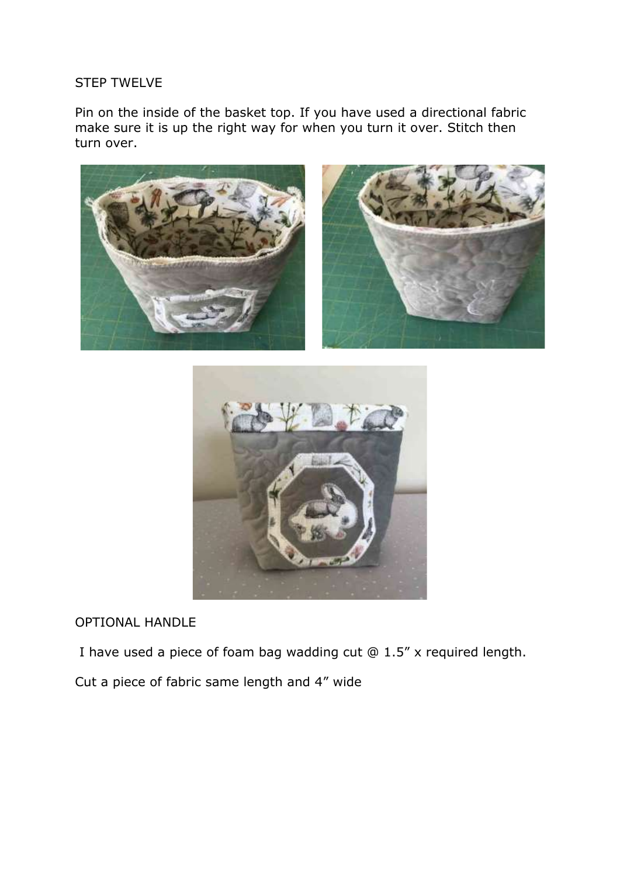### STEP TWELVE

Pin on the inside of the basket top. If you have used a directional fabric make sure it is up the right way for when you turn it over. Stitch then turn over.





### OPTIONAL HANDLE

I have used a piece of foam bag wadding cut @ 1.5" x required length.

Cut a piece of fabric same length and 4" wide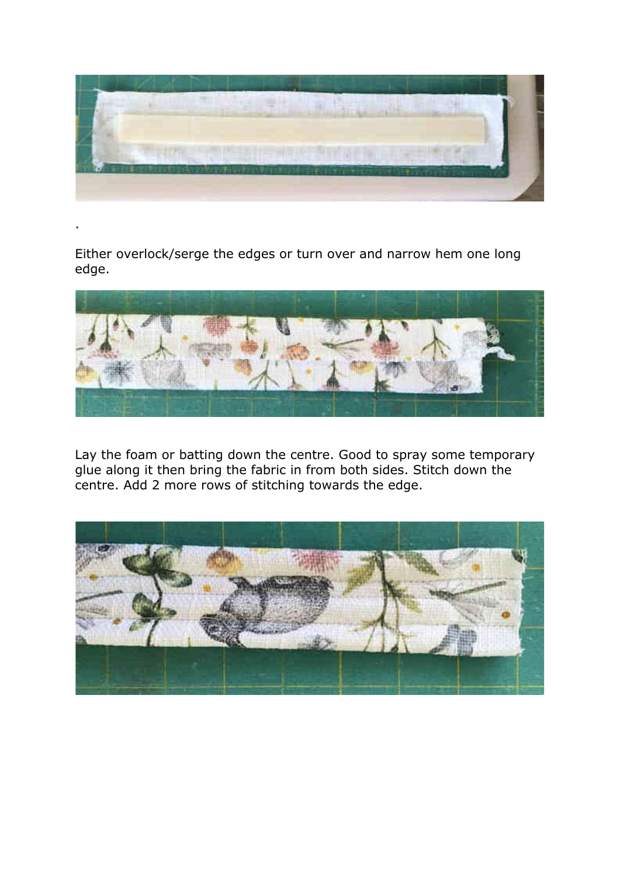

Either overlock/serge the edges or turn over and narrow hem one long edge.

.



Lay the foam or batting down the centre. Good to spray some temporary glue along it then bring the fabric in from both sides. Stitch down the centre. Add 2 more rows of stitching towards the edge.

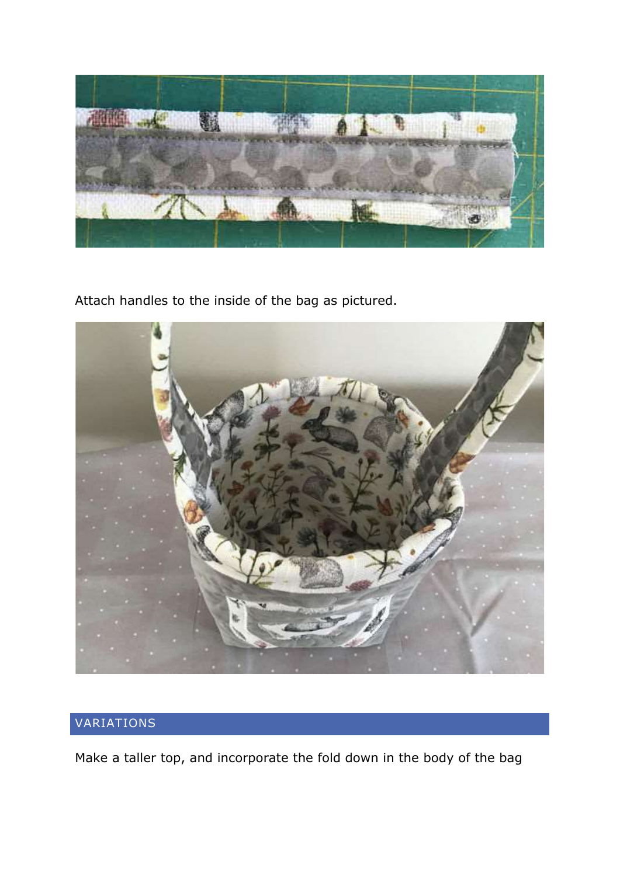

Attach handles to the inside of the bag as pictured.



# VARIATIONS

Make a taller top, and incorporate the fold down in the body of the bag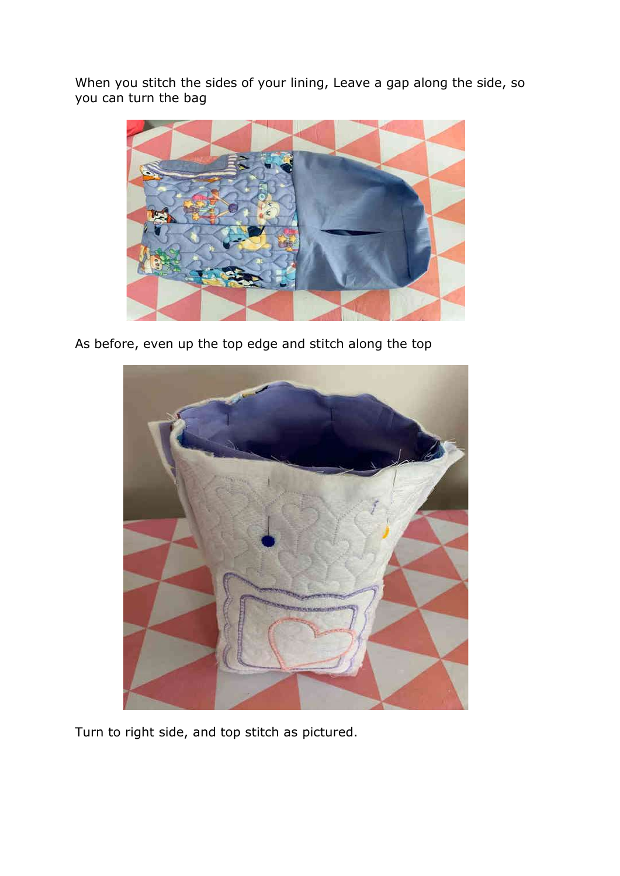When you stitch the sides of your lining, Leave a gap along the side, so you can turn the bag



As before, even up the top edge and stitch along the top



Turn to right side, and top stitch as pictured.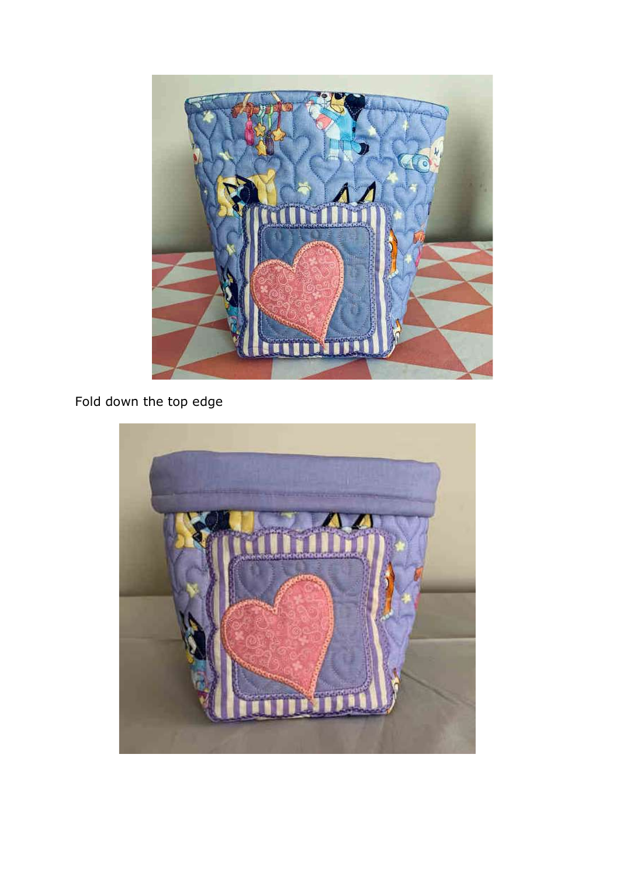

# Fold down the top edge

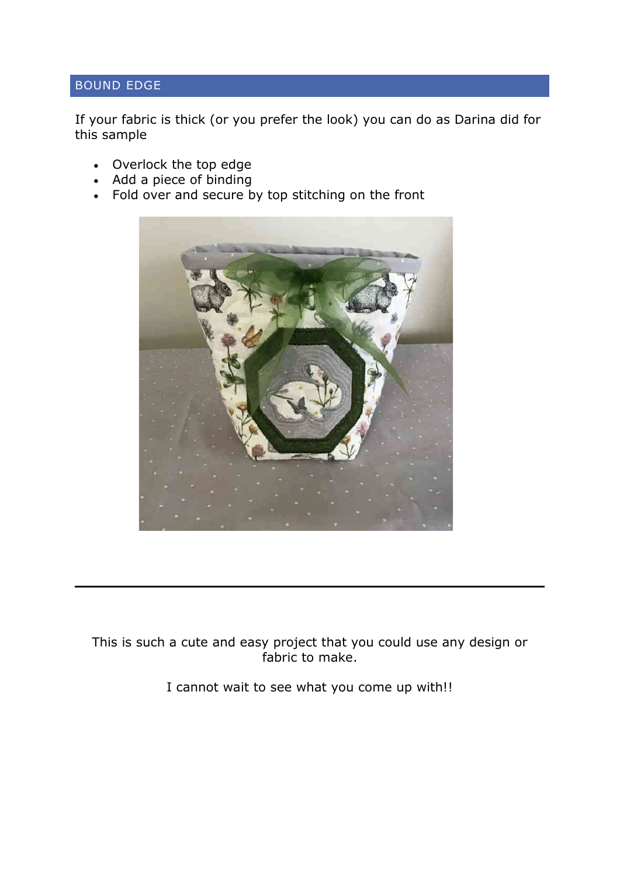# BOUND EDGE

If your fabric is thick (or you prefer the look) you can do as Darina did for this sample

- Overlock the top edge
- Add a piece of binding
- Fold over and secure by top stitching on the front



This is such a cute and easy project that you could use any design or fabric to make.

I cannot wait to see what you come up with!!